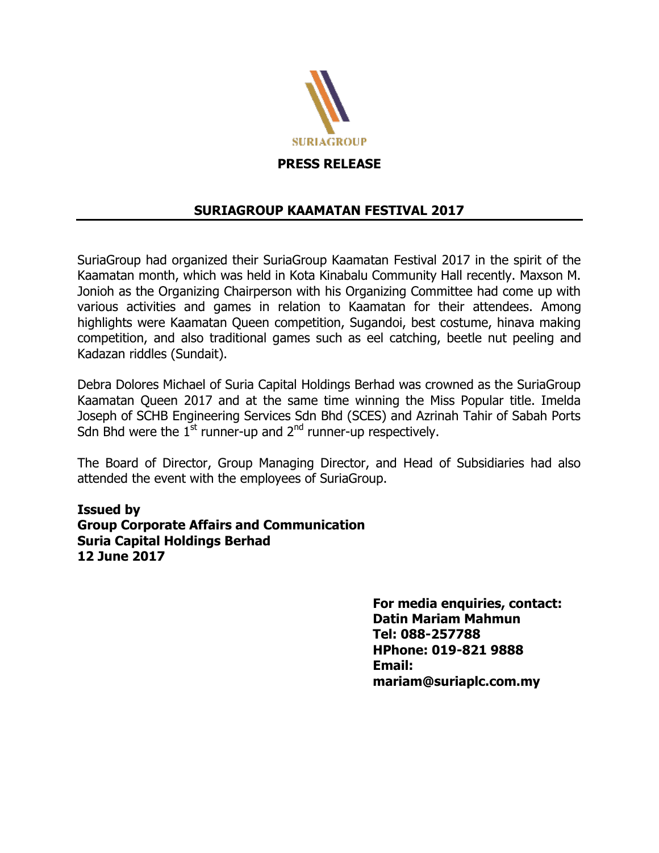

**PRESS RELEASE** 

## **SURIAGROUP KAAMATAN FESTIVAL 2017**

SuriaGroup had organized their SuriaGroup Kaamatan Festival 2017 in the spirit of the Kaamatan month, which was held in Kota Kinabalu Community Hall recently. Maxson M. Jonioh as the Organizing Chairperson with his Organizing Committee had come up with various activities and games in relation to Kaamatan for their attendees. Among highlights were Kaamatan Queen competition, Sugandoi, best costume, hinava making competition, and also traditional games such as eel catching, beetle nut peeling and Kadazan riddles (Sundait).

Debra Dolores Michael of Suria Capital Holdings Berhad was crowned as the SuriaGroup Kaamatan Queen 2017 and at the same time winning the Miss Popular title. Imelda Joseph of SCHB Engineering Services Sdn Bhd (SCES) and Azrinah Tahir of Sabah Ports Sdn Bhd were the  $1^{st}$  runner-up and  $2^{nd}$  runner-up respectively.

The Board of Director, Group Managing Director, and Head of Subsidiaries had also attended the event with the employees of SuriaGroup.

**Issued by Group Corporate Affairs and Communication Suria Capital Holdings Berhad 12 June 2017**

> **For media enquiries, contact: Datin Mariam Mahmun Tel: 088-257788 HPhone: 019-821 9888 Email: mariam@suriaplc.com.my**